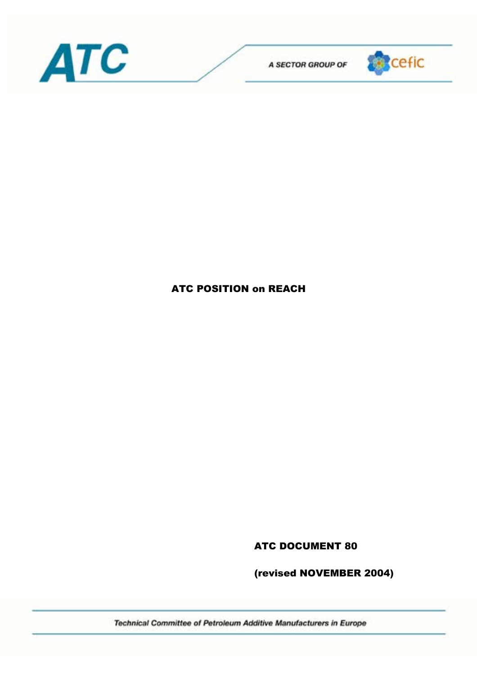



## ATC POSITION on REACH

ATC DOCUMENT 80

(revised NOVEMBER 2004)

Technical Committee of Petroleum Additive Manufacturers in Europe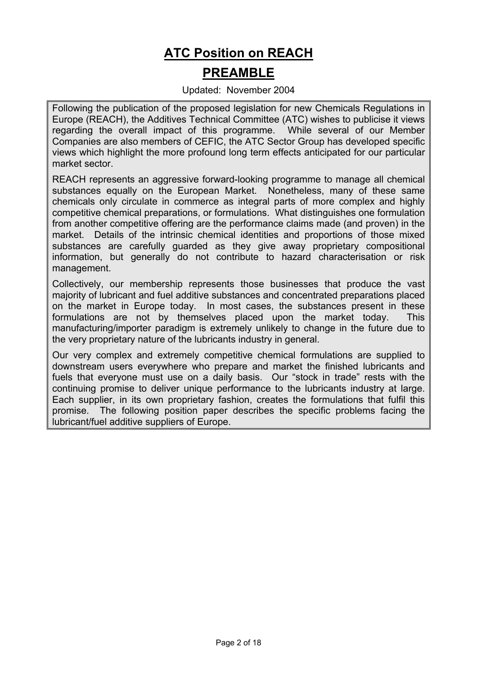# **ATC Position on REACH PREAMBLE**

#### Updated: November 2004

Following the publication of the proposed legislation for new Chemicals Regulations in Europe (REACH), the Additives Technical Committee (ATC) wishes to publicise it views regarding the overall impact of this programme. While several of our Member Companies are also members of CEFIC, the ATC Sector Group has developed specific views which highlight the more profound long term effects anticipated for our particular market sector.

REACH represents an aggressive forward-looking programme to manage all chemical substances equally on the European Market. Nonetheless, many of these same chemicals only circulate in commerce as integral parts of more complex and highly competitive chemical preparations, or formulations. What distinguishes one formulation from another competitive offering are the performance claims made (and proven) in the market. Details of the intrinsic chemical identities and proportions of those mixed substances are carefully guarded as they give away proprietary compositional information, but generally do not contribute to hazard characterisation or risk management.

Collectively, our membership represents those businesses that produce the vast majority of lubricant and fuel additive substances and concentrated preparations placed on the market in Europe today. In most cases, the substances present in these formulations are not by themselves placed upon the market today. This manufacturing/importer paradigm is extremely unlikely to change in the future due to the very proprietary nature of the lubricants industry in general.

Our very complex and extremely competitive chemical formulations are supplied to downstream users everywhere who prepare and market the finished lubricants and fuels that everyone must use on a daily basis. Our "stock in trade" rests with the continuing promise to deliver unique performance to the lubricants industry at large. Each supplier, in its own proprietary fashion, creates the formulations that fulfil this promise. The following position paper describes the specific problems facing the lubricant/fuel additive suppliers of Europe.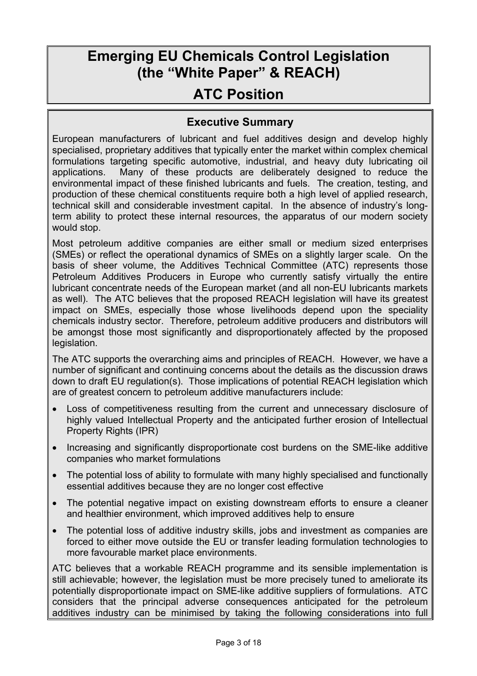# **Emerging EU Chemicals Control Legislation (the "White Paper" & REACH)**

# **ATC Position**

## **Executive Summary**

European manufacturers of lubricant and fuel additives design and develop highly specialised, proprietary additives that typically enter the market within complex chemical formulations targeting specific automotive, industrial, and heavy duty lubricating oil applications. Many of these products are deliberately designed to reduce the environmental impact of these finished lubricants and fuels. The creation, testing, and production of these chemical constituents require both a high level of applied research, technical skill and considerable investment capital. In the absence of industry's longterm ability to protect these internal resources, the apparatus of our modern society would stop.

Most petroleum additive companies are either small or medium sized enterprises (SMEs) or reflect the operational dynamics of SMEs on a slightly larger scale. On the basis of sheer volume, the Additives Technical Committee (ATC) represents those Petroleum Additives Producers in Europe who currently satisfy virtually the entire lubricant concentrate needs of the European market (and all non-EU lubricants markets as well). The ATC believes that the proposed REACH legislation will have its greatest impact on SMEs, especially those whose livelihoods depend upon the speciality chemicals industry sector. Therefore, petroleum additive producers and distributors will be amongst those most significantly and disproportionately affected by the proposed legislation.

The ATC supports the overarching aims and principles of REACH. However, we have a number of significant and continuing concerns about the details as the discussion draws down to draft EU regulation(s). Those implications of potential REACH legislation which are of greatest concern to petroleum additive manufacturers include:

- Loss of competitiveness resulting from the current and unnecessary disclosure of highly valued Intellectual Property and the anticipated further erosion of Intellectual Property Rights (IPR)
- Increasing and significantly disproportionate cost burdens on the SME-like additive companies who market formulations
- The potential loss of ability to formulate with many highly specialised and functionally essential additives because they are no longer cost effective
- The potential negative impact on existing downstream efforts to ensure a cleaner and healthier environment, which improved additives help to ensure
- The potential loss of additive industry skills, jobs and investment as companies are forced to either move outside the EU or transfer leading formulation technologies to more favourable market place environments.

ATC believes that a workable REACH programme and its sensible implementation is still achievable; however, the legislation must be more precisely tuned to ameliorate its potentially disproportionate impact on SME-like additive suppliers of formulations. ATC considers that the principal adverse consequences anticipated for the petroleum additives industry can be minimised by taking the following considerations into full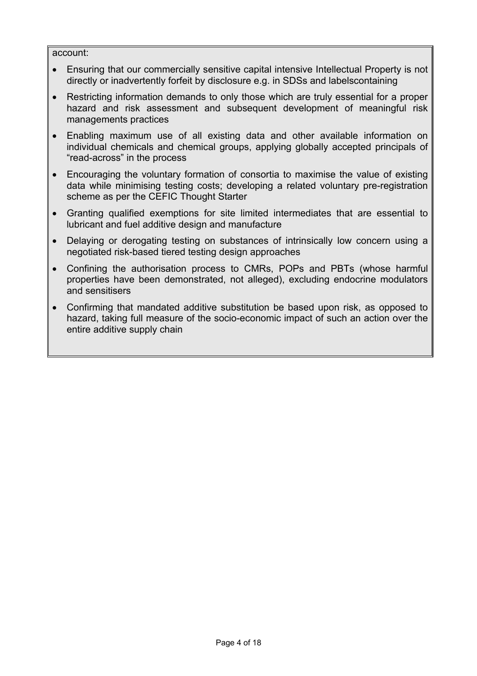#### account:

- Ensuring that our commercially sensitive capital intensive Intellectual Property is not directly or inadvertently forfeit by disclosure e.g. in SDSs and labelscontaining
- Restricting information demands to only those which are truly essential for a proper hazard and risk assessment and subsequent development of meaningful risk managements practices
- Enabling maximum use of all existing data and other available information on individual chemicals and chemical groups, applying globally accepted principals of "read-across" in the process
- Encouraging the voluntary formation of consortia to maximise the value of existing data while minimising testing costs; developing a related voluntary pre-registration scheme as per the CEFIC Thought Starter
- Granting qualified exemptions for site limited intermediates that are essential to lubricant and fuel additive design and manufacture
- Delaying or derogating testing on substances of intrinsically low concern using a negotiated risk-based tiered testing design approaches
- Confining the authorisation process to CMRs, POPs and PBTs (whose harmful properties have been demonstrated, not alleged), excluding endocrine modulators and sensitisers
- Confirming that mandated additive substitution be based upon risk, as opposed to hazard, taking full measure of the socio-economic impact of such an action over the entire additive supply chain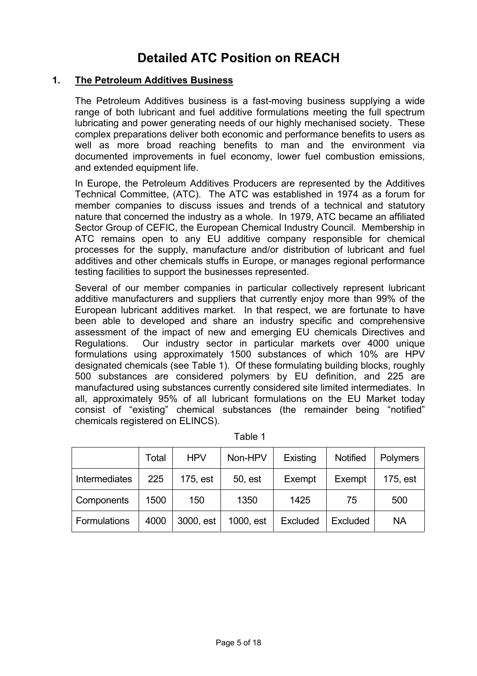## **Detailed ATC Position on REACH**

### **1. The Petroleum Additives Business**

The Petroleum Additives business is a fast-moving business supplying a wide range of both lubricant and fuel additive formulations meeting the full spectrum lubricating and power generating needs of our highly mechanised society. These complex preparations deliver both economic and performance benefits to users as well as more broad reaching benefits to man and the environment via documented improvements in fuel economy, lower fuel combustion emissions, and extended equipment life.

In Europe, the Petroleum Additives Producers are represented by the Additives Technical Committee, (ATC). The ATC was established in 1974 as a forum for member companies to discuss issues and trends of a technical and statutory nature that concerned the industry as a whole. In 1979, ATC became an affiliated Sector Group of CEFIC, the European Chemical Industry Council. Membership in ATC remains open to any EU additive company responsible for chemical processes for the supply, manufacture and/or distribution of lubricant and fuel additives and other chemicals stuffs in Europe, or manages regional performance testing facilities to support the businesses represented.

Several of our member companies in particular collectively represent lubricant additive manufacturers and suppliers that currently enjoy more than 99% of the European lubricant additives market. In that respect, we are fortunate to have been able to developed and share an industry specific and comprehensive assessment of the impact of new and emerging EU chemicals Directives and Regulations. Our industry sector in particular markets over 4000 unique formulations using approximately 1500 substances of which 10% are HPV designated chemicals (see Table 1). Of these formulating building blocks, roughly 500 substances are considered polymers by EU definition, and 225 are manufactured using substances currently considered site limited intermediates. In all, approximately 95% of all lubricant formulations on the EU Market today consist of "existing" chemical substances (the remainder being "notified" chemicals registered on ELINCS).

|                     | Total | <b>HPV</b> | Non-HPV   | Existing | <b>Notified</b> | <b>Polymers</b> |
|---------------------|-------|------------|-----------|----------|-----------------|-----------------|
| Intermediates       | 225   | 175, est   | 50, est   | Exempt   | Exempt          | 175, est        |
| Components          | 1500  | 150        | 1350      | 1425     | 75              | 500             |
| <b>Formulations</b> | 4000  | 3000, est  | 1000, est | Excluded | Excluded        | <b>NA</b>       |

| able |  |
|------|--|
|      |  |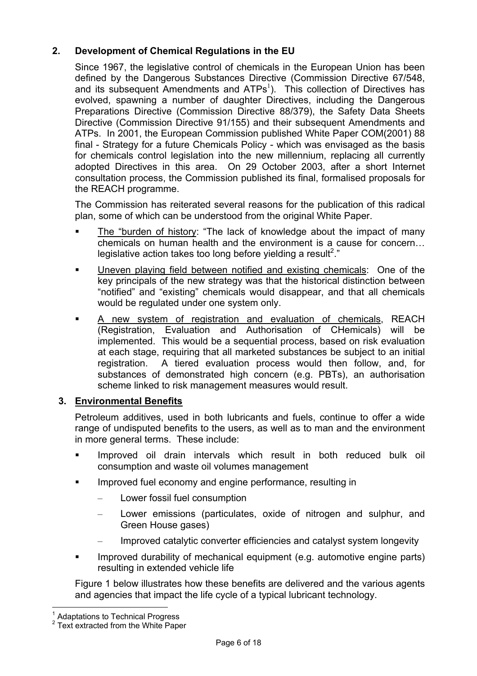## **2. Development of Chemical Regulations in the EU**

Since 1967, the legislative control of chemicals in the European Union has been defined by the Dangerous Substances Directive (Commission Directive 67/548, and its subsequent Amendments and  $ATPs<sup>1</sup>$ ). This collection of Directives has evolved, spawning a number of daughter Directives, including the Dangerous Preparations Directive (Commission Directive 88/379), the Safety Data Sheets Directive (Commission Directive 91/155) and their subsequent Amendments and ATPs. In 2001, the European Commission published White Paper COM(2001) 88 final - Strategy for a future Chemicals Policy - which was envisaged as the basis for chemicals control legislation into the new millennium, replacing all currently adopted Directives in this area. On 29 October 2003, after a short Internet consultation process, the Commission published its final, formalised proposals for the REACH programme.

The Commission has reiterated several reasons for the publication of this radical plan, some of which can be understood from the original White Paper.

- The "burden of history: "The lack of knowledge about the impact of many chemicals on human health and the environment is a cause for concern… legislative action takes too long before yielding a result<sup>2</sup>."
- Uneven playing field between notified and existing chemicals: One of the key principals of the new strategy was that the historical distinction between "notified" and "existing" chemicals would disappear, and that all chemicals would be regulated under one system only.
- A new system of registration and evaluation of chemicals, REACH (Registration, Evaluation and Authorisation of CHemicals) will be implemented. This would be a sequential process, based on risk evaluation at each stage, requiring that all marketed substances be subject to an initial registration. A tiered evaluation process would then follow, and, for substances of demonstrated high concern (e.g. PBTs), an authorisation scheme linked to risk management measures would result.

## **3. Environmental Benefits**

Petroleum additives, used in both lubricants and fuels, continue to offer a wide range of undisputed benefits to the users, as well as to man and the environment in more general terms. These include:

- Improved oil drain intervals which result in both reduced bulk oil consumption and waste oil volumes management
- Improved fuel economy and engine performance, resulting in
	- Lower fossil fuel consumption
	- Lower emissions (particulates, oxide of nitrogen and sulphur, and Green House gases)
	- Improved catalytic converter efficiencies and catalyst system longevity
- Improved durability of mechanical equipment (e.g. automotive engine parts) resulting in extended vehicle life

Figure 1 below illustrates how these benefits are delivered and the various agents and agencies that impact the life cycle of a typical lubricant technology.

 $\overline{a}$ 

<sup>1</sup> Adaptations to Technical Progress

<sup>&</sup>lt;sup>2</sup> Text extracted from the White Paper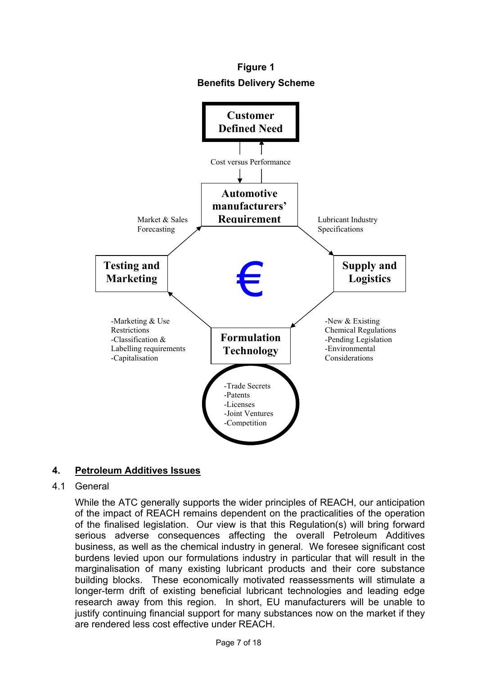**Figure 1 Benefits Delivery Scheme**



## **4. Petroleum Additives Issues**

### 4.1 General

While the ATC generally supports the wider principles of REACH, our anticipation of the impact of REACH remains dependent on the practicalities of the operation of the finalised legislation. Our view is that this Regulation(s) will bring forward serious adverse consequences affecting the overall Petroleum Additives business, as well as the chemical industry in general. We foresee significant cost burdens levied upon our formulations industry in particular that will result in the marginalisation of many existing lubricant products and their core substance building blocks. These economically motivated reassessments will stimulate a longer-term drift of existing beneficial lubricant technologies and leading edge research away from this region. In short, EU manufacturers will be unable to justify continuing financial support for many substances now on the market if they are rendered less cost effective under REACH.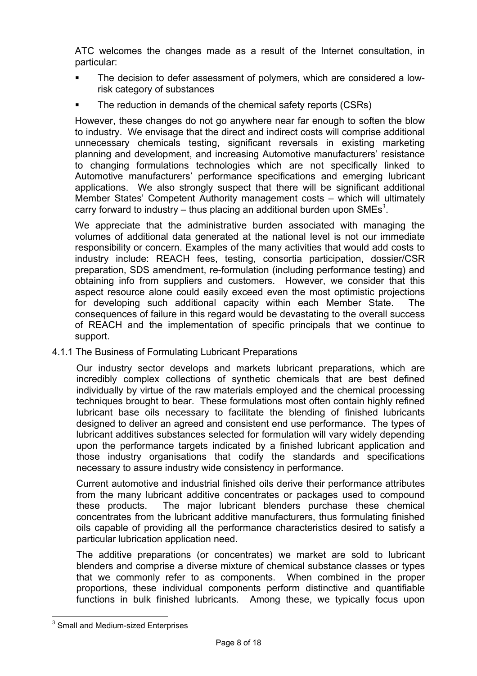ATC welcomes the changes made as a result of the Internet consultation, in particular:

- The decision to defer assessment of polymers, which are considered a lowrisk category of substances
- The reduction in demands of the chemical safety reports (CSRs)

However, these changes do not go anywhere near far enough to soften the blow to industry. We envisage that the direct and indirect costs will comprise additional unnecessary chemicals testing, significant reversals in existing marketing planning and development, and increasing Automotive manufacturers' resistance to changing formulations technologies which are not specifically linked to Automotive manufacturers' performance specifications and emerging lubricant applications. We also strongly suspect that there will be significant additional Member States' Competent Authority management costs – which will ultimately carry forward to industry – thus placing an additional burden upon SMEs<sup>3</sup>.

We appreciate that the administrative burden associated with managing the volumes of additional data generated at the national level is not our immediate responsibility or concern. Examples of the many activities that would add costs to industry include: REACH fees, testing, consortia participation, dossier/CSR preparation, SDS amendment, re-formulation (including performance testing) and obtaining info from suppliers and customers. However, we consider that this aspect resource alone could easily exceed even the most optimistic projections for developing such additional capacity within each Member State. The consequences of failure in this regard would be devastating to the overall success of REACH and the implementation of specific principals that we continue to support.

4.1.1 The Business of Formulating Lubricant Preparations

Our industry sector develops and markets lubricant preparations, which are incredibly complex collections of synthetic chemicals that are best defined individually by virtue of the raw materials employed and the chemical processing techniques brought to bear. These formulations most often contain highly refined lubricant base oils necessary to facilitate the blending of finished lubricants designed to deliver an agreed and consistent end use performance. The types of lubricant additives substances selected for formulation will vary widely depending upon the performance targets indicated by a finished lubricant application and those industry organisations that codify the standards and specifications necessary to assure industry wide consistency in performance.

Current automotive and industrial finished oils derive their performance attributes from the many lubricant additive concentrates or packages used to compound these products. The major lubricant blenders purchase these chemical concentrates from the lubricant additive manufacturers, thus formulating finished oils capable of providing all the performance characteristics desired to satisfy a particular lubrication application need.

The additive preparations (or concentrates) we market are sold to lubricant blenders and comprise a diverse mixture of chemical substance classes or types that we commonly refer to as components. When combined in the proper proportions, these individual components perform distinctive and quantifiable functions in bulk finished lubricants. Among these, we typically focus upon

 $\overline{a}$ <sup>3</sup> Small and Medium-sized Enterprises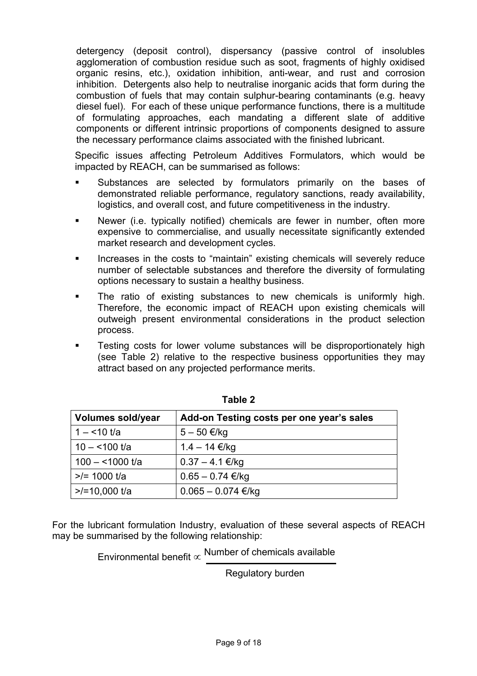detergency (deposit control), dispersancy (passive control of insolubles agglomeration of combustion residue such as soot, fragments of highly oxidised organic resins, etc.), oxidation inhibition, anti-wear, and rust and corrosion inhibition. Detergents also help to neutralise inorganic acids that form during the combustion of fuels that may contain sulphur-bearing contaminants (e.g. heavy diesel fuel). For each of these unique performance functions, there is a multitude of formulating approaches, each mandating a different slate of additive components or different intrinsic proportions of components designed to assure the necessary performance claims associated with the finished lubricant.

Specific issues affecting Petroleum Additives Formulators, which would be impacted by REACH, can be summarised as follows:

- Substances are selected by formulators primarily on the bases of demonstrated reliable performance, regulatory sanctions, ready availability, logistics, and overall cost, and future competitiveness in the industry.
- Newer (i.e. typically notified) chemicals are fewer in number, often more expensive to commercialise, and usually necessitate significantly extended market research and development cycles.
- Increases in the costs to "maintain" existing chemicals will severely reduce number of selectable substances and therefore the diversity of formulating options necessary to sustain a healthy business.
- The ratio of existing substances to new chemicals is uniformly high. Therefore, the economic impact of REACH upon existing chemicals will outweigh present environmental considerations in the product selection process.
- Testing costs for lower volume substances will be disproportionately high (see Table 2) relative to the respective business opportunities they may attract based on any projected performance merits.

| <b>Volumes sold/year</b> | Add-on Testing costs per one year's sales |
|--------------------------|-------------------------------------------|
| $1 - 10$ t/a             | $5 - 50 \in$ /kg                          |
| $10 - 100$ t/a           | $1.4 - 14 \text{ €/kg}$                   |
| $100 - 1000$ t/a         | $0.37 - 4.1 \text{€/kg}$                  |
| $>>=1000$ t/a            | $0.65 - 0.74 \text{ €/kg}$                |
| $>10,000$ t/a            | $0.065 - 0.074 \text{ €/kg}$              |

**Table 2** 

For the lubricant formulation Industry, evaluation of these several aspects of REACH may be summarised by the following relationship:

Environmental benefit  $\propto$  Number of chemicals available

Regulatory burden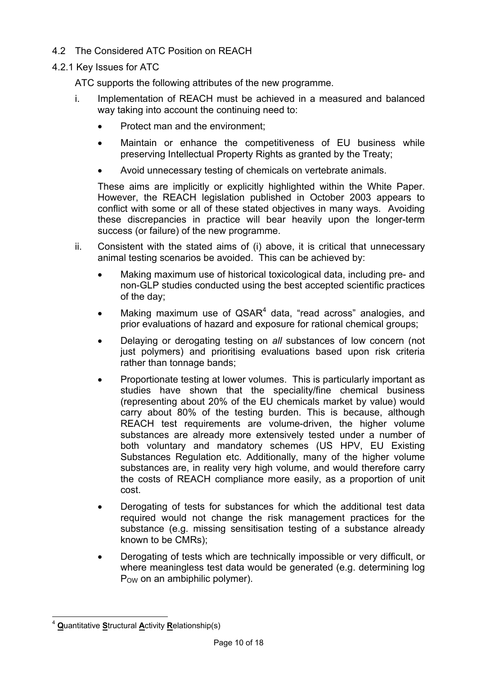- 4.2 The Considered ATC Position on REACH
- 4.2.1 Key Issues for ATC

ATC supports the following attributes of the new programme.

- i. Implementation of REACH must be achieved in a measured and balanced way taking into account the continuing need to:
	- Protect man and the environment;
	- Maintain or enhance the competitiveness of EU business while preserving Intellectual Property Rights as granted by the Treaty;
	- Avoid unnecessary testing of chemicals on vertebrate animals.

These aims are implicitly or explicitly highlighted within the White Paper. However, the REACH legislation published in October 2003 appears to conflict with some or all of these stated objectives in many ways. Avoiding these discrepancies in practice will bear heavily upon the longer-term success (or failure) of the new programme.

- ii. Consistent with the stated aims of (i) above, it is critical that unnecessary animal testing scenarios be avoided. This can be achieved by:
	- Making maximum use of historical toxicological data, including pre- and non-GLP studies conducted using the best accepted scientific practices of the day;
	- Making maximum use of  $QSAR<sup>4</sup>$  data, "read across" analogies, and prior evaluations of hazard and exposure for rational chemical groups;
	- Delaying or derogating testing on *all* substances of low concern (not just polymers) and prioritising evaluations based upon risk criteria rather than tonnage bands;
	- Proportionate testing at lower volumes. This is particularly important as studies have shown that the speciality/fine chemical business (representing about 20% of the EU chemicals market by value) would carry about 80% of the testing burden. This is because, although REACH test requirements are volume-driven, the higher volume substances are already more extensively tested under a number of both voluntary and mandatory schemes (US HPV, EU Existing Substances Regulation etc. Additionally, many of the higher volume substances are, in reality very high volume, and would therefore carry the costs of REACH compliance more easily, as a proportion of unit cost.
	- Derogating of tests for substances for which the additional test data required would not change the risk management practices for the substance (e.g. missing sensitisation testing of a substance already known to be CMRs);
	- Derogating of tests which are technically impossible or very difficult, or where meaningless test data would be generated (e.g. determining log  $P<sub>OW</sub>$  on an ambiphilic polymer).

 $\overline{a}$ <sup>4</sup> **Q**uantitative **S**tructural **A**ctivity **R**elationship(s)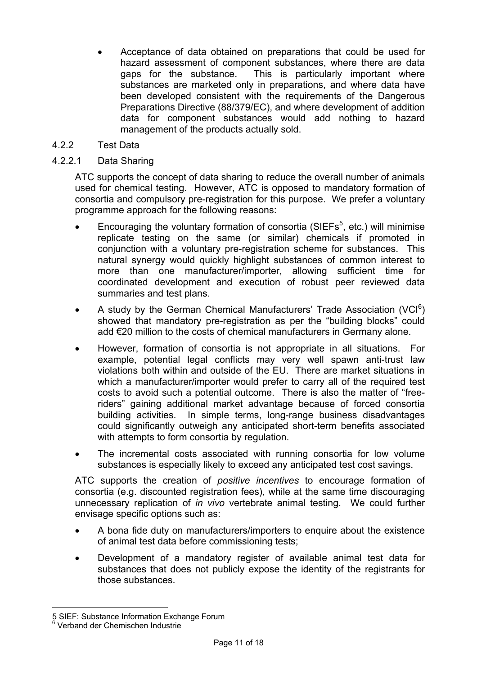- Acceptance of data obtained on preparations that could be used for hazard assessment of component substances, where there are data gaps for the substance. This is particularly important where substances are marketed only in preparations, and where data have been developed consistent with the requirements of the Dangerous Preparations Directive (88/379/EC), and where development of addition data for component substances would add nothing to hazard management of the products actually sold.
- 4.2.2 Test Data

## 4.2.2.1 Data Sharing

ATC supports the concept of data sharing to reduce the overall number of animals used for chemical testing. However, ATC is opposed to mandatory formation of consortia and compulsory pre-registration for this purpose. We prefer a voluntary programme approach for the following reasons:

- Encouraging the voluntary formation of consortia (SIEFs<sup>5</sup>, etc.) will minimise replicate testing on the same (or similar) chemicals if promoted in conjunction with a voluntary pre-registration scheme for substances. This natural synergy would quickly highlight substances of common interest to more than one manufacturer/importer, allowing sufficient time for coordinated development and execution of robust peer reviewed data summaries and test plans.
- A study by the German Chemical Manufacturers' Trade Association (VCI $^6$ ) showed that mandatory pre-registration as per the "building blocks" could add €20 million to the costs of chemical manufacturers in Germany alone.
- However, formation of consortia is not appropriate in all situations. For example, potential legal conflicts may very well spawn anti-trust law violations both within and outside of the EU. There are market situations in which a manufacturer/importer would prefer to carry all of the required test costs to avoid such a potential outcome. There is also the matter of "freeriders" gaining additional market advantage because of forced consortia building activities. In simple terms, long-range business disadvantages could significantly outweigh any anticipated short-term benefits associated with attempts to form consortia by regulation.
- The incremental costs associated with running consortia for low volume substances is especially likely to exceed any anticipated test cost savings.

ATC supports the creation of *positive incentives* to encourage formation of consortia (e.g. discounted registration fees), while at the same time discouraging unnecessary replication of *in vivo* vertebrate animal testing. We could further envisage specific options such as:

- A bona fide duty on manufacturers/importers to enquire about the existence of animal test data before commissioning tests;
- Development of a mandatory register of available animal test data for substances that does not publicly expose the identity of the registrants for those substances.

 $\overline{a}$ 

<sup>5</sup> SIEF: Substance Information Exchange Forum

<sup>&</sup>lt;sup>6</sup> Verband der Chemischen Industrie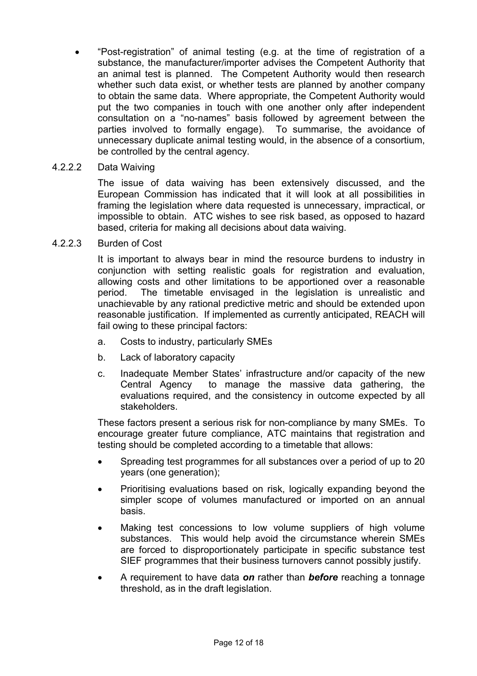• "Post-registration" of animal testing (e.g. at the time of registration of a substance, the manufacturer/importer advises the Competent Authority that an animal test is planned. The Competent Authority would then research whether such data exist, or whether tests are planned by another company to obtain the same data. Where appropriate, the Competent Authority would put the two companies in touch with one another only after independent consultation on a "no-names" basis followed by agreement between the parties involved to formally engage). To summarise, the avoidance of unnecessary duplicate animal testing would, in the absence of a consortium, be controlled by the central agency.

### 4.2.2.2 Data Waiving

The issue of data waiving has been extensively discussed, and the European Commission has indicated that it will look at all possibilities in framing the legislation where data requested is unnecessary, impractical, or impossible to obtain. ATC wishes to see risk based, as opposed to hazard based, criteria for making all decisions about data waiving.

4.2.2.3 Burden of Cost

It is important to always bear in mind the resource burdens to industry in conjunction with setting realistic goals for registration and evaluation, allowing costs and other limitations to be apportioned over a reasonable period. The timetable envisaged in the legislation is unrealistic and unachievable by any rational predictive metric and should be extended upon reasonable justification. If implemented as currently anticipated, REACH will fail owing to these principal factors:

- a. Costs to industry, particularly SMEs
- b. Lack of laboratory capacity
- c. Inadequate Member States' infrastructure and/or capacity of the new Central Agency to manage the massive data gathering, the evaluations required, and the consistency in outcome expected by all stakeholders.

These factors present a serious risk for non-compliance by many SMEs. To encourage greater future compliance, ATC maintains that registration and testing should be completed according to a timetable that allows:

- Spreading test programmes for all substances over a period of up to 20 years (one generation);
- Prioritising evaluations based on risk, logically expanding beyond the simpler scope of volumes manufactured or imported on an annual basis.
- Making test concessions to low volume suppliers of high volume substances. This would help avoid the circumstance wherein SMEs are forced to disproportionately participate in specific substance test SIEF programmes that their business turnovers cannot possibly justify.
- A requirement to have data *on* rather than *before* reaching a tonnage threshold, as in the draft legislation.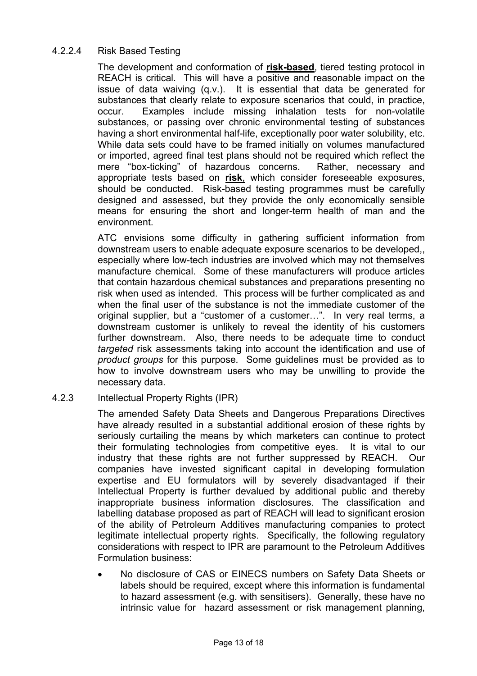## 4.2.2.4 Risk Based Testing

The development and conformation of **risk-based**, tiered testing protocol in REACH is critical. This will have a positive and reasonable impact on the issue of data waiving (q.v.). It is essential that data be generated for substances that clearly relate to exposure scenarios that could, in practice, occur. Examples include missing inhalation tests for non-volatile substances, or passing over chronic environmental testing of substances having a short environmental half-life, exceptionally poor water solubility, etc. While data sets could have to be framed initially on volumes manufactured or imported, agreed final test plans should not be required which reflect the mere "box-ticking" of hazardous concerns. Rather, necessary and appropriate tests based on **risk**, which consider foreseeable exposures, should be conducted. Risk-based testing programmes must be carefully designed and assessed, but they provide the only economically sensible means for ensuring the short and longer-term health of man and the environment.

ATC envisions some difficulty in gathering sufficient information from downstream users to enable adequate exposure scenarios to be developed,, especially where low-tech industries are involved which may not themselves manufacture chemical. Some of these manufacturers will produce articles that contain hazardous chemical substances and preparations presenting no risk when used as intended. This process will be further complicated as and when the final user of the substance is not the immediate customer of the original supplier, but a "customer of a customer…". In very real terms, a downstream customer is unlikely to reveal the identity of his customers further downstream. Also, there needs to be adequate time to conduct *targeted* risk assessments taking into account the identification and use of *product groups* for this purpose*.* Some guidelines must be provided as to how to involve downstream users who may be unwilling to provide the necessary data.

### 4.2.3 Intellectual Property Rights (IPR)

The amended Safety Data Sheets and Dangerous Preparations Directives have already resulted in a substantial additional erosion of these rights by seriously curtailing the means by which marketers can continue to protect their formulating technologies from competitive eyes. It is vital to our industry that these rights are not further suppressed by REACH. Our companies have invested significant capital in developing formulation expertise and EU formulators will by severely disadvantaged if their Intellectual Property is further devalued by additional public and thereby inappropriate business information disclosures. The classification and labelling database proposed as part of REACH will lead to significant erosion of the ability of Petroleum Additives manufacturing companies to protect legitimate intellectual property rights. Specifically, the following regulatory considerations with respect to IPR are paramount to the Petroleum Additives Formulation business:

• No disclosure of CAS or EINECS numbers on Safety Data Sheets or labels should be required, except where this information is fundamental to hazard assessment (e.g. with sensitisers). Generally, these have no intrinsic value for hazard assessment or risk management planning,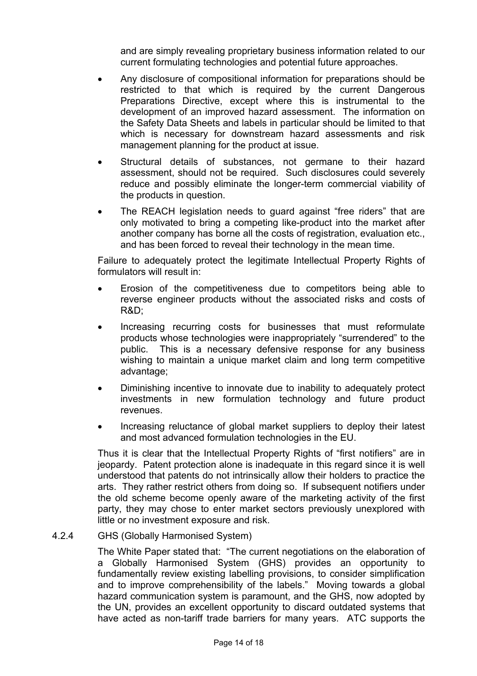and are simply revealing proprietary business information related to our current formulating technologies and potential future approaches.

- Any disclosure of compositional information for preparations should be restricted to that which is required by the current Dangerous Preparations Directive, except where this is instrumental to the development of an improved hazard assessment. The information on the Safety Data Sheets and labels in particular should be limited to that which is necessary for downstream hazard assessments and risk management planning for the product at issue.
- Structural details of substances, not germane to their hazard assessment, should not be required. Such disclosures could severely reduce and possibly eliminate the longer-term commercial viability of the products in question.
- The REACH legislation needs to guard against "free riders" that are only motivated to bring a competing like-product into the market after another company has borne all the costs of registration, evaluation etc., and has been forced to reveal their technology in the mean time.

Failure to adequately protect the legitimate Intellectual Property Rights of formulators will result in:

- Erosion of the competitiveness due to competitors being able to reverse engineer products without the associated risks and costs of R&D;
- Increasing recurring costs for businesses that must reformulate products whose technologies were inappropriately "surrendered" to the public. This is a necessary defensive response for any business wishing to maintain a unique market claim and long term competitive advantage;
- Diminishing incentive to innovate due to inability to adequately protect investments in new formulation technology and future product revenues.
- Increasing reluctance of global market suppliers to deploy their latest and most advanced formulation technologies in the EU.

Thus it is clear that the Intellectual Property Rights of "first notifiers" are in jeopardy. Patent protection alone is inadequate in this regard since it is well understood that patents do not intrinsically allow their holders to practice the arts. They rather restrict others from doing so. If subsequent notifiers under the old scheme become openly aware of the marketing activity of the first party, they may chose to enter market sectors previously unexplored with little or no investment exposure and risk.

### 4.2.4 GHS (Globally Harmonised System)

The White Paper stated that: "The current negotiations on the elaboration of a Globally Harmonised System (GHS) provides an opportunity to fundamentally review existing labelling provisions, to consider simplification and to improve comprehensibility of the labels." Moving towards a global hazard communication system is paramount, and the GHS, now adopted by the UN, provides an excellent opportunity to discard outdated systems that have acted as non-tariff trade barriers for many years. ATC supports the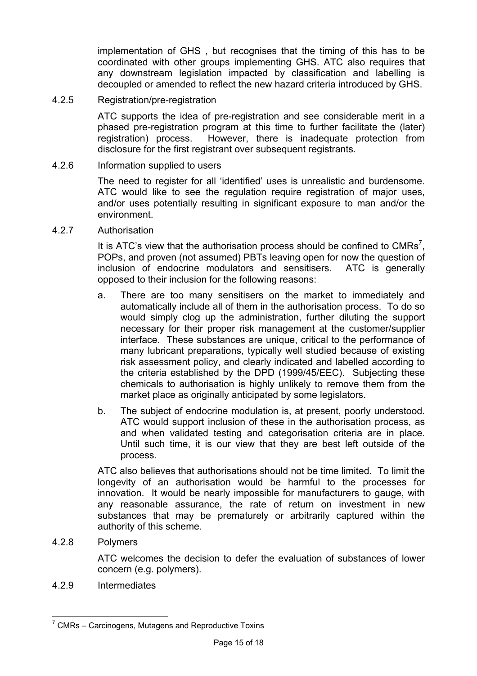implementation of GHS , but recognises that the timing of this has to be coordinated with other groups implementing GHS. ATC also requires that any downstream legislation impacted by classification and labelling is decoupled or amended to reflect the new hazard criteria introduced by GHS.

4.2.5 Registration/pre-registration

ATC supports the idea of pre-registration and see considerable merit in a phased pre-registration program at this time to further facilitate the (later) registration) process. However, there is inadequate protection from disclosure for the first registrant over subsequent registrants.

### 4.2.6 Information supplied to users

The need to register for all 'identified' uses is unrealistic and burdensome. ATC would like to see the regulation require registration of major uses, and/or uses potentially resulting in significant exposure to man and/or the environment.

4.2.7 Authorisation

It is ATC's view that the authorisation process should be confined to CMRs<sup>7</sup>, POPs, and proven (not assumed) PBTs leaving open for now the question of inclusion of endocrine modulators and sensitisers. ATC is generally opposed to their inclusion for the following reasons:

- a. There are too many sensitisers on the market to immediately and automatically include all of them in the authorisation process. To do so would simply clog up the administration, further diluting the support necessary for their proper risk management at the customer/supplier interface. These substances are unique, critical to the performance of many lubricant preparations, typically well studied because of existing risk assessment policy, and clearly indicated and labelled according to the criteria established by the DPD (1999/45/EEC). Subjecting these chemicals to authorisation is highly unlikely to remove them from the market place as originally anticipated by some legislators.
- b. The subject of endocrine modulation is, at present, poorly understood. ATC would support inclusion of these in the authorisation process, as and when validated testing and categorisation criteria are in place. Until such time, it is our view that they are best left outside of the process.

ATC also believes that authorisations should not be time limited. To limit the longevity of an authorisation would be harmful to the processes for innovation. It would be nearly impossible for manufacturers to gauge, with any reasonable assurance, the rate of return on investment in new substances that may be prematurely or arbitrarily captured within the authority of this scheme.

4.2.8 Polymers

 $\overline{a}$ 

ATC welcomes the decision to defer the evaluation of substances of lower concern (e.g. polymers).

4.2.9 Intermediates

 $7$  CMRs – Carcinogens, Mutagens and Reproductive Toxins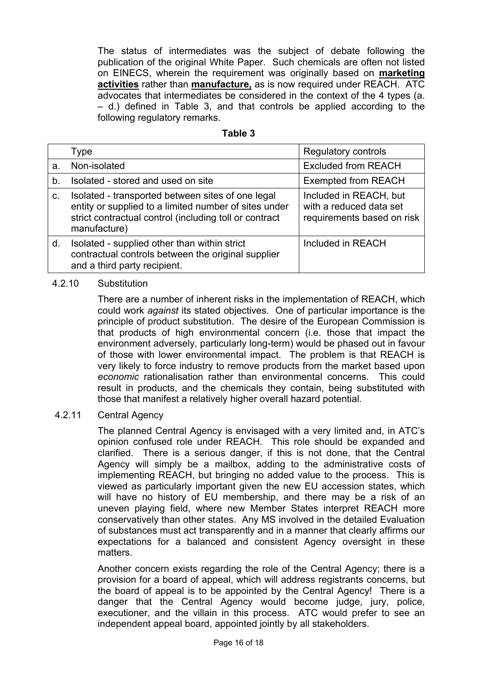The status of intermediates was the subject of debate following the publication of the original White Paper. Such chemicals are often not listed on EINECS, wherein the requirement was originally based on **marketing activities** rather than **manufacture,** as is now required under REACH. ATC advocates that intermediates be considered in the context of the 4 types (a. – d.) defined in Table 3, and that controls be applied according to the following regulatory remarks.

| able |  |
|------|--|
|------|--|

|    | Type                                                                                                                                                                                 | <b>Regulatory controls</b>                                                      |
|----|--------------------------------------------------------------------------------------------------------------------------------------------------------------------------------------|---------------------------------------------------------------------------------|
| а. | Non-isolated                                                                                                                                                                         | <b>Excluded from REACH</b>                                                      |
| b. | Isolated - stored and used on site                                                                                                                                                   | <b>Exempted from REACH</b>                                                      |
| C. | Isolated - transported between sites of one legal<br>entity or supplied to a limited number of sites under<br>strict contractual control (including toll or contract<br>manufacture) | Included in REACH, but<br>with a reduced data set<br>requirements based on risk |
| d. | Isolated - supplied other than within strict<br>contractual controls between the original supplier<br>and a third party recipient.                                                   | Included in REACH                                                               |

#### 4.2.10 Substitution

There are a number of inherent risks in the implementation of REACH, which could work *against* its stated objectives. One of particular importance is the principle of product substitution. The desire of the European Commission is that products of high environmental concern (i.e. those that impact the environment adversely, particularly long-term) would be phased out in favour of those with lower environmental impact. The problem is that REACH is very likely to force industry to remove products from the market based upon *economic* rationalisation rather than environmental concerns. This could result in products, and the chemicals they contain, being substituted with those that manifest a relatively higher overall hazard potential.

#### 4.2.11 Central Agency

The planned Central Agency is envisaged with a very limited and, in ATC's opinion confused role under REACH. This role should be expanded and clarified. There is a serious danger, if this is not done, that the Central Agency will simply be a mailbox, adding to the administrative costs of implementing REACH, but bringing no added value to the process. This is viewed as particularly important given the new EU accession states, which will have no history of EU membership, and there may be a risk of an uneven playing field, where new Member States interpret REACH more conservatively than other states. Any MS involved in the detailed Evaluation of substances must act transparently and in a manner that clearly affirms our expectations for a balanced and consistent Agency oversight in these matters.

Another concern exists regarding the role of the Central Agency; there is a provision for a board of appeal, which will address registrants concerns, but the board of appeal is to be appointed by the Central Agency! There is a danger that the Central Agency would become judge, jury, police, executioner, and the villain in this process. ATC would prefer to see an independent appeal board, appointed jointly by all stakeholders.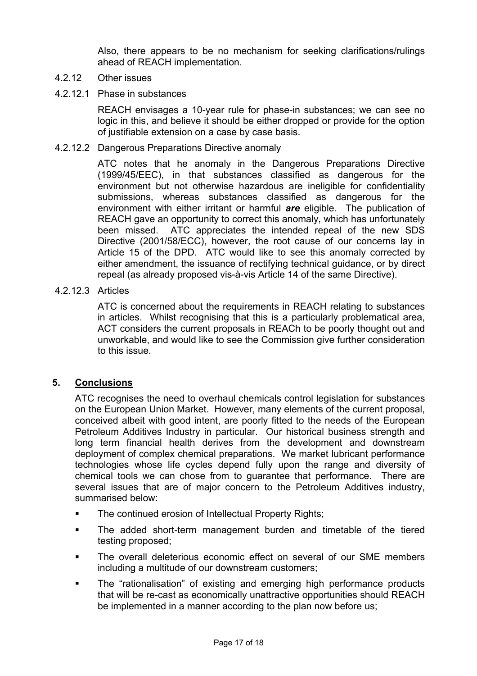Also, there appears to be no mechanism for seeking clarifications/rulings ahead of REACH implementation.

### 4.2.12 Other issues

4.2.12.1 Phase in substances

REACH envisages a 10-year rule for phase-in substances; we can see no logic in this, and believe it should be either dropped or provide for the option of justifiable extension on a case by case basis.

4.2.12.2 Dangerous Preparations Directive anomaly

ATC notes that he anomaly in the Dangerous Preparations Directive (1999/45/EEC), in that substances classified as dangerous for the environment but not otherwise hazardous are ineligible for confidentiality submissions, whereas substances classified as dangerous for the environment with either irritant or harmful *are* eligible. The publication of REACH gave an opportunity to correct this anomaly, which has unfortunately been missed. ATC appreciates the intended repeal of the new SDS Directive (2001/58/ECC), however, the root cause of our concerns lay in Article 15 of the DPD. ATC would like to see this anomaly corrected by either amendment, the issuance of rectifying technical guidance, or by direct repeal (as already proposed vis-à-vis Article 14 of the same Directive).

## 4.2.12.3 Articles

ATC is concerned about the requirements in REACH relating to substances in articles. Whilst recognising that this is a particularly problematical area, ACT considers the current proposals in REACh to be poorly thought out and unworkable, and would like to see the Commission give further consideration to this issue.

## **5. Conclusions**

ATC recognises the need to overhaul chemicals control legislation for substances on the European Union Market. However, many elements of the current proposal, conceived albeit with good intent, are poorly fitted to the needs of the European Petroleum Additives Industry in particular. Our historical business strength and long term financial health derives from the development and downstream deployment of complex chemical preparations. We market lubricant performance technologies whose life cycles depend fully upon the range and diversity of chemical tools we can chose from to guarantee that performance. There are several issues that are of major concern to the Petroleum Additives industry, summarised below:

- The continued erosion of Intellectual Property Rights;
- The added short-term management burden and timetable of the tiered testing proposed;
- The overall deleterious economic effect on several of our SME members including a multitude of our downstream customers;
- The "rationalisation" of existing and emerging high performance products that will be re-cast as economically unattractive opportunities should REACH be implemented in a manner according to the plan now before us;